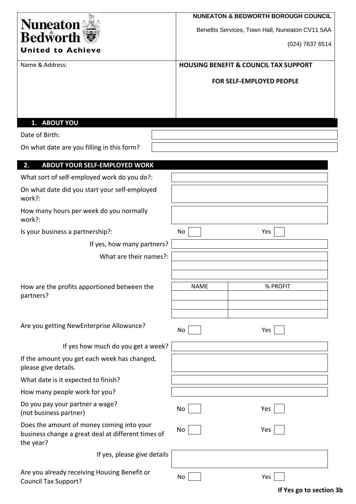| <b>Nuneaton</b><br><b>Bedworth</b><br><b>United to Achieve</b>                                               | <b>NUNEATON &amp; BEDWORTH BOROUGH COUNCIL</b><br>Benefits Services, Town Hall, Nuneaton CV11 5AA<br>(024) 7637 6514 |
|--------------------------------------------------------------------------------------------------------------|----------------------------------------------------------------------------------------------------------------------|
| Name & Address:                                                                                              | <b>HOUSING BENEFIT &amp; COUNCIL TAX SUPPORT</b>                                                                     |
|                                                                                                              | FOR SELF-EMPLOYED PEOPLE                                                                                             |
| 1. ABOUT YOU                                                                                                 |                                                                                                                      |
| Date of Birth:                                                                                               |                                                                                                                      |
| On what date are you filling in this form?                                                                   |                                                                                                                      |
| <b>ABOUT YOUR SELF-EMPLOYED WORK</b><br>2.                                                                   |                                                                                                                      |
| What sort of self-employed work do you do?:                                                                  |                                                                                                                      |
| On what date did you start your self-employed<br>work?:                                                      |                                                                                                                      |
| How many hours per week do you normally<br>work?:                                                            |                                                                                                                      |
| Is your business a partnership?:                                                                             | No<br>Yes                                                                                                            |
| If yes, how many partners?                                                                                   |                                                                                                                      |
| What are their names?:                                                                                       |                                                                                                                      |
| How are the profits apportioned between the<br>partners?                                                     | % PROFIT<br><b>NAME</b>                                                                                              |
| Are you getting NewEnterprise Allowance?                                                                     | No<br>Yes                                                                                                            |
| If yes how much do you get a week?                                                                           |                                                                                                                      |
| If the amount you get each week has changed,<br>please give details.                                         |                                                                                                                      |
| What date is it expected to finish?                                                                          |                                                                                                                      |
| How many people work for you?                                                                                |                                                                                                                      |
| Do you pay your partner a wage?<br>(not business partner)                                                    | No<br>Yes                                                                                                            |
| Does the amount of money coming into your<br>business change a great deal at different times of<br>the year? | No<br>Yes                                                                                                            |
| If yes, please give details                                                                                  |                                                                                                                      |
| Are you already receiving Housing Benefit or<br><b>Council Tax Support?</b>                                  | No<br>Yes                                                                                                            |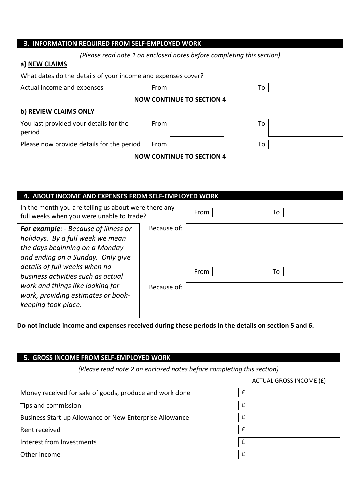## **3. INFORMATION REQUIRED FROM SELF‐EMPLOYED WORK**

| (Please read note 1 on enclosed notes before completing this section) |  |  |
|-----------------------------------------------------------------------|--|--|
|-----------------------------------------------------------------------|--|--|

#### **a) NEW CLAIMS**

| What dates do the details of your income and expenses cover? |      |                                  |    |
|--------------------------------------------------------------|------|----------------------------------|----|
| Actual income and expenses                                   | From |                                  | To |
|                                                              |      | <b>NOW CONTINUE TO SECTION 4</b> |    |
| b) REVIEW CLAIMS ONLY                                        |      |                                  |    |
| You last provided your details for the<br>period             | From |                                  | To |
| Please now provide details for the period                    | From |                                  | To |
|                                                              |      | <b>NOW CONTINUE TO SECTION 4</b> |    |

#### **4. ABOUT INCOME AND EXPENSES FROM SELF‐EMPLOYED WORK**

| In the month you are telling us about were there any<br>full weeks when you were unable to trade?                                                      |             | From | To |
|--------------------------------------------------------------------------------------------------------------------------------------------------------|-------------|------|----|
| <b>For example:</b> - Because of illness or<br>holidays. By a full week we mean<br>the days beginning on a Monday<br>and ending on a Sunday. Only give | Because of: |      |    |
| details of full weeks when no<br>business activities such as actual                                                                                    |             | From | To |
| work and things like looking for<br>work, providing estimates or book-<br>keeping took place.                                                          | Because of: |      |    |

Do not include income and expenses received during these periods in the details on section 5 and 6.

### **5. GROSS INCOME FROM SELF‐EMPLOYED WORK**

*(Please read note 2 on enclosed notes before completing this section)*

ACTUAL GROSS INCOME (£)

| Money received for sale of goods, produce and work done | £            |
|---------------------------------------------------------|--------------|
| Tips and commission                                     | $\mathbf f$  |
| Business Start-up Allowance or New Enterprise Allowance | $\mathbf f$  |
| Rent received                                           | $\mathbf f$  |
| Interest from Investments                               | f            |
| Other income                                            | $\mathbf{f}$ |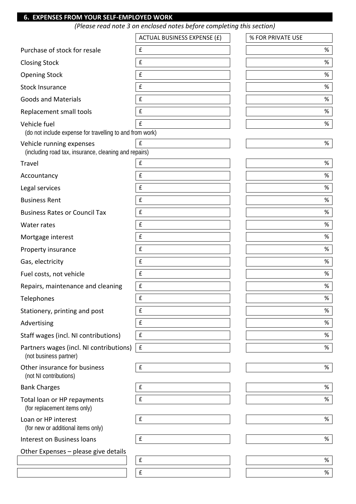## **6. EXPENSES FROM YOUR SELF‐EMPLOYED WORK**

*(Please read note 3 on enclosed notes before completing this section)*

|                                                                                   | <b>ACTUAL BUSINESS EXPENSE (£)</b> | % FOR PRIVATE USE |
|-----------------------------------------------------------------------------------|------------------------------------|-------------------|
| Purchase of stock for resale                                                      | £                                  | $\%$              |
| <b>Closing Stock</b>                                                              | £                                  | %                 |
| <b>Opening Stock</b>                                                              | £                                  | %                 |
| <b>Stock Insurance</b>                                                            | £                                  | $\%$              |
| <b>Goods and Materials</b>                                                        | £                                  | $\%$              |
| Replacement small tools                                                           | £                                  | $\%$              |
| Vehicle fuel<br>(do not include expense for travelling to and from work)          | £                                  | %                 |
| Vehicle running expenses<br>(including road tax, insurance, cleaning and repairs) | £                                  | %                 |
| Travel                                                                            | £                                  | $\%$              |
| Accountancy                                                                       | £                                  | %                 |
| Legal services                                                                    | £                                  | $\%$              |
| <b>Business Rent</b>                                                              | £                                  | $\%$              |
| <b>Business Rates or Council Tax</b>                                              | £                                  | %                 |
| Water rates                                                                       | £                                  | $\%$              |
| Mortgage interest                                                                 | £                                  | %                 |
| Property insurance                                                                | £                                  | %                 |
| Gas, electricity                                                                  | £                                  | $\%$              |
| Fuel costs, not vehicle                                                           | £                                  | $\%$              |
| Repairs, maintenance and cleaning                                                 | £                                  | $\%$              |
| Telephones                                                                        | £                                  | %                 |
| Stationery, printing and post                                                     | £                                  | $\%$              |
| Advertising                                                                       | £                                  | $\%$              |
| Staff wages (incl. NI contributions)                                              | £                                  | $\%$              |
| Partners wages (incl. NI contributions)<br>(not business partner)                 | $\mathbf f$                        | %                 |
| Other insurance for business<br>(not NI contributions)                            | $\pmb{\mathsf{f}}$                 | %                 |
| <b>Bank Charges</b>                                                               | £                                  | %                 |
| Total loan or HP repayments<br>(for replacement items only)                       | £                                  | %                 |
| Loan or HP interest<br>(for new or additional items only)                         | £                                  | %                 |
| Interest on Business loans                                                        | $\pmb{\mathsf{f}}$                 | %                 |
| Other Expenses - please give details                                              |                                    |                   |
|                                                                                   | $\pmb{\mathsf{f}}$                 | %                 |
|                                                                                   | £                                  | %                 |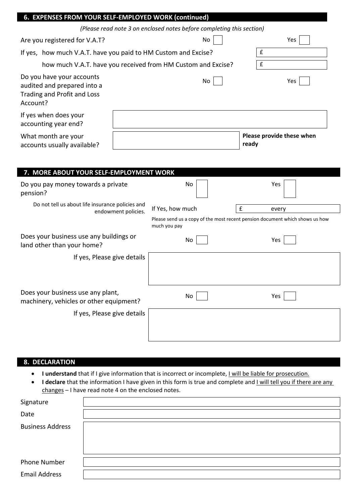|                                                                                                     | 6. EXPENSES FROM YOUR SELF-EMPLOYED WORK (continued)                  |             |                                                                                       |
|-----------------------------------------------------------------------------------------------------|-----------------------------------------------------------------------|-------------|---------------------------------------------------------------------------------------|
|                                                                                                     | (Please read note 3 on enclosed notes before completing this section) |             |                                                                                       |
| Are you registered for V.A.T?                                                                       |                                                                       | No          | Yes                                                                                   |
| If yes, how much V.A.T. have you paid to HM Custom and Excise?                                      |                                                                       |             | £                                                                                     |
|                                                                                                     | how much V.A.T. have you received from HM Custom and Excise?          |             | $\pmb{\mathsf{f}}$                                                                    |
| Do you have your accounts<br>audited and prepared into a<br>Trading and Profit and Loss<br>Account? |                                                                       | No          | Yes                                                                                   |
| If yes when does your<br>accounting year end?                                                       |                                                                       |             |                                                                                       |
| What month are your<br>accounts usually available?                                                  |                                                                       | ready       | Please provide these when                                                             |
|                                                                                                     |                                                                       |             |                                                                                       |
| 7. MORE ABOUT YOUR SELF-EMPLOYMENT WORK                                                             |                                                                       |             |                                                                                       |
| Do you pay money towards a private<br>pension?                                                      | No                                                                    |             | Yes                                                                                   |
| Do not tell us about life insurance policies and                                                    |                                                                       |             |                                                                                       |
|                                                                                                     |                                                                       |             |                                                                                       |
|                                                                                                     | If Yes, how much<br>endowment policies.<br>much you pay               | $\mathbf f$ | every<br>Please send us a copy of the most recent pension document which shows us how |
| Does your business use any buildings or<br>land other than your home?                               | Νo                                                                    |             | Yes                                                                                   |
| If yes, Please give details                                                                         |                                                                       |             |                                                                                       |
|                                                                                                     |                                                                       |             |                                                                                       |
| Does your business use any plant,<br>machinery, vehicles or other equipment?                        | No                                                                    |             | Yes                                                                                   |
| If yes, Please give details                                                                         |                                                                       |             |                                                                                       |
|                                                                                                     |                                                                       |             |                                                                                       |

### **8. DECLARATION**

- **I understand** that if I give information that is incorrect or incomplete, I will be liable for prosecution.
- **I** declare that the information I have given in this form is true and complete and I will tell you if there are any changes – I have read note 4 on the enclosed notes.

| Signature               |  |
|-------------------------|--|
| Date                    |  |
| <b>Business Address</b> |  |
|                         |  |
| Phone Number            |  |
| <b>Email Address</b>    |  |